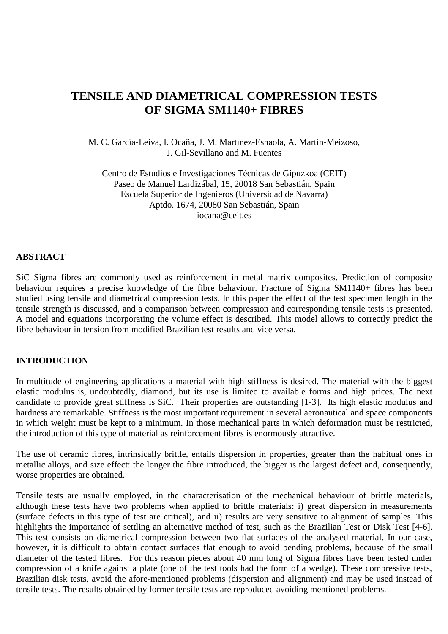# **TENSILE AND DIAMETRICAL COMPRESSION TESTS OF SIGMA SM1140+ FIBRES**

M. C. García-Leiva, I. Ocaña, J. M. Martínez-Esnaola, A. Martín-Meizoso, J. Gil-Sevillano and M. Fuentes

Centro de Estudios e Investigaciones Técnicas de Gipuzkoa (CEIT) Paseo de Manuel Lardizábal, 15, 20018 San Sebastián, Spain Escuela Superior de Ingenieros (Universidad de Navarra) Aptdo. 1674, 20080 San Sebastián, Spain iocana@ceit.es

## **ABSTRACT**

SiC Sigma fibres are commonly used as reinforcement in metal matrix composites. Prediction of composite behaviour requires a precise knowledge of the fibre behaviour. Fracture of Sigma SM1140+ fibres has been studied using tensile and diametrical compression tests. In this paper the effect of the test specimen length in the tensile strength is discussed, and a comparison between compression and corresponding tensile tests is presented. A model and equations incorporating the volume effect is described. This model allows to correctly predict the fibre behaviour in tension from modified Brazilian test results and vice versa.

## **INTRODUCTION**

In multitude of engineering applications a material with high stiffness is desired. The material with the biggest elastic modulus is, undoubtedly, diamond, but its use is limited to available forms and high prices. The next candidate to provide great stiffness is SiC. Their properties are outstanding [1-3]. Its high elastic modulus and hardness are remarkable. Stiffness is the most important requirement in several aeronautical and space components in which weight must be kept to a minimum. In those mechanical parts in which deformation must be restricted, the introduction of this type of material as reinforcement fibres is enormously attractive.

The use of ceramic fibres, intrinsically brittle, entails dispersion in properties, greater than the habitual ones in metallic alloys, and size effect: the longer the fibre introduced, the bigger is the largest defect and, consequently, worse properties are obtained.

Tensile tests are usually employed, in the characterisation of the mechanical behaviour of brittle materials, although these tests have two problems when applied to brittle materials: i) great dispersion in measurements (surface defects in this type of test are critical), and ii) results are very sensitive to alignment of samples. This highlights the importance of settling an alternative method of test, such as the Brazilian Test or Disk Test [4-6]. This test consists on diametrical compression between two flat surfaces of the analysed material. In our case, however, it is difficult to obtain contact surfaces flat enough to avoid bending problems, because of the small diameter of the tested fibres. For this reason pieces about 40 mm long of Sigma fibres have been tested under compression of a knife against a plate (one of the test tools had the form of a wedge). These compressive tests, Brazilian disk tests, avoid the afore-mentioned problems (dispersion and alignment) and may be used instead of tensile tests. The results obtained by former tensile tests are reproduced avoiding mentioned problems.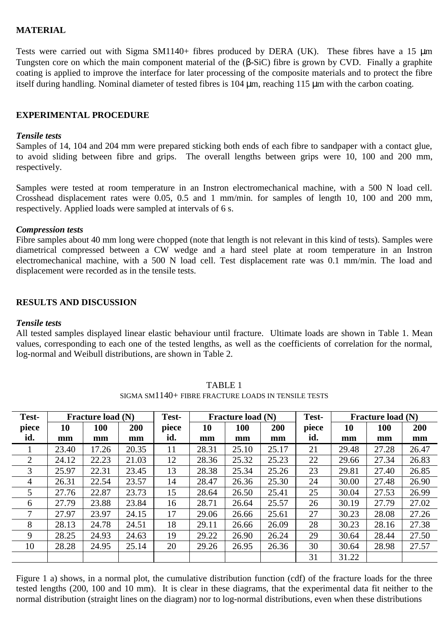## **MATERIAL**

Tests were carried out with Sigma SM1140+ fibres produced by DERA (UK). These fibres have a 15 µm Tungsten core on which the main component material of the (β-SiC) fibre is grown by CVD. Finally a graphite coating is applied to improve the interface for later processing of the composite materials and to protect the fibre itself during handling. Nominal diameter of tested fibres is 104 µm, reaching 115 µm with the carbon coating.

# **EXPERIMENTAL PROCEDURE**

### *Tensile tests*

Samples of 14, 104 and 204 mm were prepared sticking both ends of each fibre to sandpaper with a contact glue, to avoid sliding between fibre and grips. The overall lengths between grips were 10, 100 and 200 mm, respectively.

Samples were tested at room temperature in an Instron electromechanical machine, with a 500 N load cell. Crosshead displacement rates were 0.05, 0.5 and 1 mm/min. for samples of length 10, 100 and 200 mm, respectively. Applied loads were sampled at intervals of 6 s.

## *Compression tests*

Fibre samples about 40 mm long were chopped (note that length is not relevant in this kind of tests). Samples were diametrical compressed between a CW wedge and a hard steel plate at room temperature in an Instron electromechanical machine, with a 500 N load cell. Test displacement rate was 0.1 mm/min. The load and displacement were recorded as in the tensile tests.

# **RESULTS AND DISCUSSION**

#### *Tensile tests*

All tested samples displayed linear elastic behaviour until fracture. Ultimate loads are shown in Table 1. Mean values, corresponding to each one of the tested lengths, as well as the coefficients of correlation for the normal, log-normal and Weibull distributions, are shown in Table 2.

| Test- | <b>Fracture load (N)</b> |            | Test- | <b>Fracture load (N)</b> |       |            | Test- | <b>Fracture load (N)</b> |       |            |       |
|-------|--------------------------|------------|-------|--------------------------|-------|------------|-------|--------------------------|-------|------------|-------|
| piece | 10                       | <b>100</b> | 200   | piece                    | 10    | <b>100</b> | 200   | piece                    | 10    | <b>100</b> | 200   |
| id.   | mm                       | mm         | mm    | id.                      | mm    | mm         | mm    | id.                      | mm    | mm         | mm    |
|       | 23.40                    | 17.26      | 20.35 | 11                       | 28.31 | 25.10      | 25.17 | 21                       | 29.48 | 27.28      | 26.47 |
| 2     | 24.12                    | 22.23      | 21.03 | 12                       | 28.36 | 25.32      | 25.23 | 22                       | 29.66 | 27.34      | 26.83 |
| 3     | 25.97                    | 22.31      | 23.45 | 13                       | 28.38 | 25.34      | 25.26 | 23                       | 29.81 | 27.40      | 26.85 |
| 4     | 26.31                    | 22.54      | 23.57 | 14                       | 28.47 | 26.36      | 25.30 | 24                       | 30.00 | 27.48      | 26.90 |
| 5     | 27.76                    | 22.87      | 23.73 | 15                       | 28.64 | 26.50      | 25.41 | 25                       | 30.04 | 27.53      | 26.99 |
| 6     | 27.79                    | 23.88      | 23.84 | 16                       | 28.71 | 26.64      | 25.57 | 26                       | 30.19 | 27.79      | 27.02 |
| 7     | 27.97                    | 23.97      | 24.15 | 17                       | 29.06 | 26.66      | 25.61 | 27                       | 30.23 | 28.08      | 27.26 |
| 8     | 28.13                    | 24.78      | 24.51 | 18                       | 29.11 | 26.66      | 26.09 | 28                       | 30.23 | 28.16      | 27.38 |
| 9     | 28.25                    | 24.93      | 24.63 | 19                       | 29.22 | 26.90      | 26.24 | 29                       | 30.64 | 28.44      | 27.50 |
| 10    | 28.28                    | 24.95      | 25.14 | 20                       | 29.26 | 26.95      | 26.36 | 30                       | 30.64 | 28.98      | 27.57 |
|       |                          |            |       |                          |       |            |       | 31                       | 31.22 |            |       |

TABLE 1 SIGMA SM1140+ FIBRE FRACTURE LOADS IN TENSILE TESTS

Figure 1 a) shows, in a normal plot, the cumulative distribution function (cdf) of the fracture loads for the three tested lengths (200, 100 and 10 mm). It is clear in these diagrams, that the experimental data fit neither to the normal distribution (straight lines on the diagram) nor to log-normal distributions, even when these distributions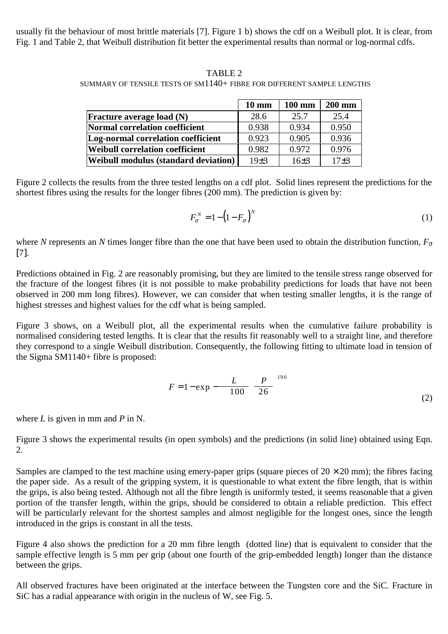usually fit the behaviour of most brittle materials [7]. Figure 1 b) shows the cdf on a Weibull plot. It is clear, from Fig. 1 and Table 2, that Weibull distribution fit better the experimental results than normal or log-normal cdfs.

#### TABLE 2

#### SUMMARY OF TENSILE TESTS OF SM1140+ FIBRE FOR DIFFERENT SAMPLE LENGTHS

|                                               | $10 \text{ mm}$ | 100 mm   | 200 mm   |
|-----------------------------------------------|-----------------|----------|----------|
| <b>Fracture average load <math>(N)</math></b> | 28.6            | 25.7     | 25.4     |
| Normal correlation coefficient                | 0.938           | 0.934    | 0.950    |
| Log-normal correlation coefficient            | 0.923           | 0.905    | 0.936    |
| Weibull correlation coefficient               | 0.982           | 0.972    | 0.976    |
| Weibull modulus (standard deviation)          | 19±3            | $16\pm3$ | $17\pm3$ |

Figure 2 collects the results from the three tested lengths on a cdf plot. Solid lines represent the predictions for the shortest fibres using the results for the longer fibres (200 mm). The prediction is given by:

$$
F_{\sigma}^{N} = 1 - \left(1 - F_{\sigma}\right)^{N} \tag{1}
$$

where *N* represents an *N* times longer fibre than the one that have been used to obtain the distribution function, *F*<sup>σ</sup> [7].

Predictions obtained in Fig. 2 are reasonably promising, but they are limited to the tensile stress range observed for the fracture of the longest fibres (it is not possible to make probability predictions for loads that have not been observed in 200 mm long fibres). However, we can consider that when testing smaller lengths, it is the range of highest stresses and highest values for the cdf what is being sampled.

Figure 3 shows, on a Weibull plot, all the experimental results when the cumulative failure probability is normalised considering tested lengths. It is clear that the results fit reasonably well to a straight line, and therefore they correspond to a single Weibull distribution. Consequently, the following fitting to ultimate load in tension of the Sigma SM1140+ fibre is proposed:

$$
F = 1 - \exp\left[-\frac{L}{100}\left(\frac{P}{26}\right)^{19.6}\right]
$$
 (2)

where *L* is given in mm and *P* in N.

Figure 3 shows the experimental results (in open symbols) and the predictions (in solid line) obtained using Eqn. 2.

Samples are clamped to the test machine using emery-paper grips (square pieces of  $20 \times 20$  mm); the fibres facing the paper side. As a result of the gripping system, it is questionable to what extent the fibre length, that is within the grips, is also being tested. Although not all the fibre length is uniformly tested, it seems reasonable that a given portion of the transfer length, within the grips, should be considered to obtain a reliable prediction. This effect will be particularly relevant for the shortest samples and almost negligible for the longest ones, since the length introduced in the grips is constant in all the tests.

Figure 4 also shows the prediction for a 20 mm fibre length (dotted line) that is equivalent to consider that the sample effective length is 5 mm per grip (about one fourth of the grip-embedded length) longer than the distance between the grips.

All observed fractures have been originated at the interface between the Tungsten core and the SiC. Fracture in SiC has a radial appearance with origin in the nucleus of W, see Fig. 5.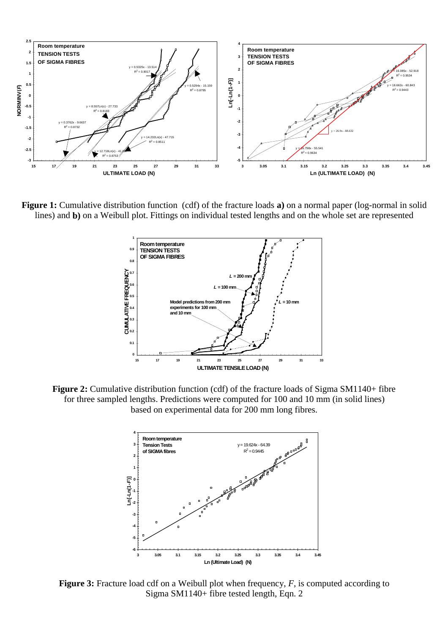

**Figure 1:** Cumulative distribution function (cdf) of the fracture loads **a)** on a normal paper (log-normal in solid lines) and **b)** on a Weibull plot. Fittings on individual tested lengths and on the whole set are represented



**Figure 2:** Cumulative distribution function (cdf) of the fracture loads of Sigma SM1140+ fibre for three sampled lengths. Predictions were computed for 100 and 10 mm (in solid lines) based on experimental data for 200 mm long fibres.



**Figure 3:** Fracture load cdf on a Weibull plot when frequency, *F*, is computed according to Sigma SM1140+ fibre tested length, Eqn. 2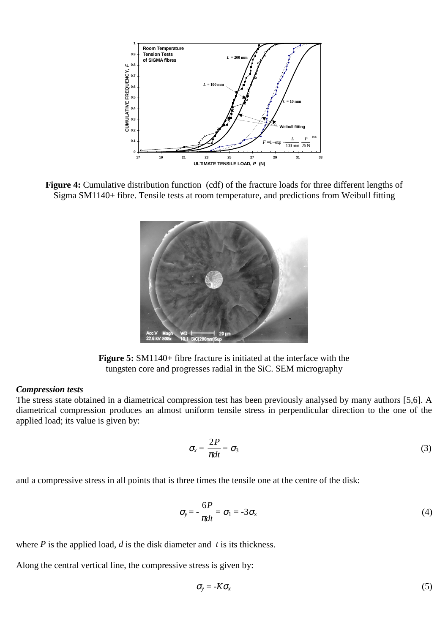

Figure 4: Cumulative distribution function (cdf) of the fracture loads for three different lengths of Sigma SM1140+ fibre. Tensile tests at room temperature, and predictions from Weibull fitting



**Figure 5:** SM1140+ fibre fracture is initiated at the interface with the tungsten core and progresses radial in the SiC. SEM micrography

### *Compression tests*

The stress state obtained in a diametrical compression test has been previously analysed by many authors [5,6]. A diametrical compression produces an almost uniform tensile stress in perpendicular direction to the one of the applied load; its value is given by:

$$
\sigma_x = \frac{2P}{\pi dt} = \sigma_3 \tag{3}
$$

and a compressive stress in all points that is three times the tensile one at the centre of the disk:

$$
\sigma_{y} = -\frac{6P}{\pi dt} = \sigma_{1} = -3\sigma_{x}
$$
\n(4)

where *P* is the applied load, *d* is the disk diameter and *t* is its thickness.

Along the central vertical line, the compressive stress is given by:

$$
\sigma_y = -K\sigma_x \tag{5}
$$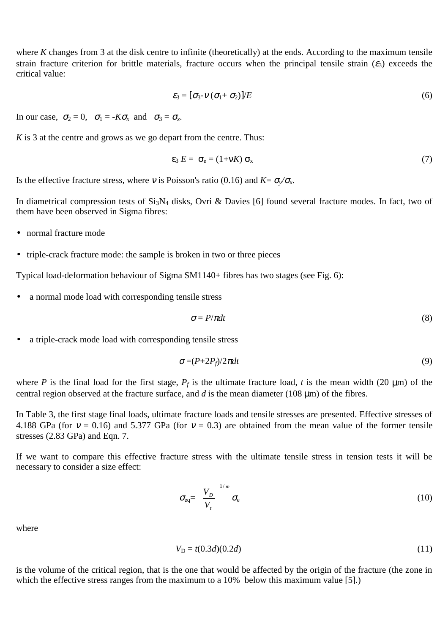where *K* changes from 3 at the disk centre to infinite (theoretically) at the ends. According to the maximum tensile strain fracture criterion for brittle materials, fracture occurs when the principal tensile strain  $(\varepsilon_3)$  exceeds the critical value:

$$
\varepsilon_3 = [\sigma_3 \, \nu \, (\sigma_1 + \sigma_2)]/E \tag{6}
$$

In our case,  $\sigma_2 = 0$ ,  $\sigma_1 = -K\sigma_x$  and  $\sigma_3 = \sigma_x$ .

*K* is 3 at the centre and grows as we go depart from the centre. Thus:

$$
\varepsilon_3 E = \sigma_e = (1 + vK) \sigma_x \tag{7}
$$

Is the effective fracture stress, where v is Poisson's ratio (0.16) and  $K = \sigma_v/\sigma_x$ .

In diametrical compression tests of Si<sub>3</sub>N<sub>4</sub> disks, Ovri & Davies [6] found several fracture modes. In fact, two of them have been observed in Sigma fibres:

- normal fracture mode
- triple-crack fracture mode: the sample is broken in two or three pieces

Typical load-deformation behaviour of Sigma SM1140+ fibres has two stages (see Fig. 6):

• a normal mode load with corresponding tensile stress

$$
\sigma = P/\pi dt \tag{8}
$$

a triple-crack mode load with corresponding tensile stress

$$
\sigma = (P + 2P_f)/2\pi dt \tag{9}
$$

where *P* is the final load for the first stage,  $P_f$  is the ultimate fracture load, *t* is the mean width (20 µm) of the central region observed at the fracture surface, and *d* is the mean diameter (108 µm) of the fibres.

In Table 3, the first stage final loads, ultimate fracture loads and tensile stresses are presented. Effective stresses of 4.188 GPa (for  $v = 0.16$ ) and 5.377 GPa (for  $v = 0.3$ ) are obtained from the mean value of the former tensile stresses (2.83 GPa) and Eqn. 7.

If we want to compare this effective fracture stress with the ultimate tensile stress in tension tests it will be necessary to consider a size effect:

$$
\sigma_{\text{eq}} = \left(\frac{V_D}{V_t}\right)^{1/m} \sigma_{\text{e}}
$$
\n(10)

where

$$
V_{\rm D} = t(0.3d)(0.2d) \tag{11}
$$

is the volume of the critical region, that is the one that would be affected by the origin of the fracture (the zone in which the effective stress ranges from the maximum to a 10% below this maximum value [5].)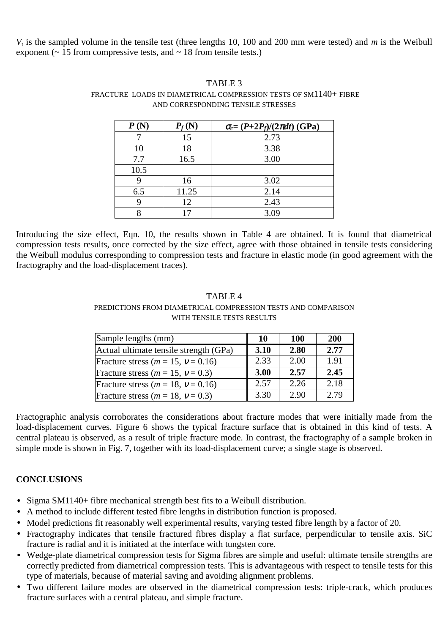*V*t is the sampled volume in the tensile test (three lengths 10, 100 and 200 mm were tested) and *m* is the Weibull exponent ( $\sim$  15 from compressive tests, and  $\sim$  18 from tensile tests.)

| P(N) | $P_f(N)$ | $\sigma_c = (P+2P_f)/(2\pi dt)$ (GPa) |
|------|----------|---------------------------------------|
|      | 15       | 2.73                                  |
| 10   | 18       | 3.38                                  |
| 7.7  | 16.5     | 3.00                                  |
| 10.5 |          |                                       |
|      | 16       | 3.02                                  |
| 6.5  | 11.25    | 2.14                                  |
|      | 12       | 2.43                                  |
|      | 17       | 3.09                                  |

## TABLE 3 FRACTURE LOADS IN DIAMETRICAL COMPRESSION TESTS OF SM1140+ FIBRE AND CORRESPONDING TENSILE STRESSES

Introducing the size effect, Eqn. 10, the results shown in Table 4 are obtained. It is found that diametrical compression tests results, once corrected by the size effect, agree with those obtained in tensile tests considering the Weibull modulus corresponding to compression tests and fracture in elastic mode (in good agreement with the fractography and the load-displacement traces).

# TABLE 4 PREDICTIONS FROM DIAMETRICAL COMPRESSION TESTS AND COMPARISON WITH TENSILE TESTS RESULTS

| Sample lengths (mm)                       | 10   | <b>100</b> | 200  |
|-------------------------------------------|------|------------|------|
| Actual ultimate tensile strength (GPa)    | 3.10 | 2.80       | 2.77 |
| Fracture stress ( $m = 15$ , $v = 0.16$ ) | 2.33 | 2.00       | 1.91 |
| Fracture stress ( $m = 15$ , $v = 0.3$ )  | 3.00 | 2.57       | 2.45 |
| Fracture stress ( $m = 18$ , $v = 0.16$ ) | 2.57 | 2.26       | 2.18 |
| Fracture stress ( $m = 18$ , $v = 0.3$ )  | 3.30 | 2.90       | 2.79 |

Fractographic analysis corroborates the considerations about fracture modes that were initially made from the load-displacement curves. Figure 6 shows the typical fracture surface that is obtained in this kind of tests. A central plateau is observed, as a result of triple fracture mode. In contrast, the fractography of a sample broken in simple mode is shown in Fig. 7, together with its load-displacement curve; a single stage is observed.

# **CONCLUSIONS**

- Sigma SM1140+ fibre mechanical strength best fits to a Weibull distribution.
- A method to include different tested fibre lengths in distribution function is proposed.
- Model predictions fit reasonably well experimental results, varying tested fibre length by a factor of 20.
- Fractography indicates that tensile fractured fibres display a flat surface, perpendicular to tensile axis. SiC fracture is radial and it is initiated at the interface with tungsten core.
- Wedge-plate diametrical compression tests for Sigma fibres are simple and useful: ultimate tensile strengths are correctly predicted from diametrical compression tests. This is advantageous with respect to tensile tests for this type of materials, because of material saving and avoiding alignment problems.
- Two different failure modes are observed in the diametrical compression tests: triple-crack, which produces fracture surfaces with a central plateau, and simple fracture.